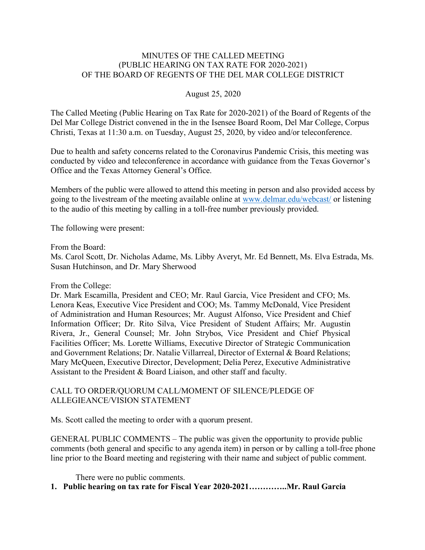### MINUTES OF THE CALLED MEETING (PUBLIC HEARING ON TAX RATE FOR 2020-2021) OF THE BOARD OF REGENTS OF THE DEL MAR COLLEGE DISTRICT

#### August 25, 2020

The Called Meeting (Public Hearing on Tax Rate for 2020-2021) of the Board of Regents of the Del Mar College District convened in the in the Isensee Board Room, Del Mar College, Corpus Christi, Texas at 11:30 a.m. on Tuesday, August 25, 2020, by video and/or teleconference.

Due to health and safety concerns related to the Coronavirus Pandemic Crisis, this meeting was conducted by video and teleconference in accordance with guidance from the Texas Governor's Office and the Texas Attorney General's Office.

Members of the public were allowed to attend this meeting in person and also provided access by going to the livestream of the meeting available online at www.delmar.edu/webcast/ or listening to the audio of this meeting by calling in a toll-free number previously provided.

The following were present:

From the Board:

Ms. Carol Scott, Dr. Nicholas Adame, Ms. Libby Averyt, Mr. Ed Bennett, Ms. Elva Estrada, Ms. Susan Hutchinson, and Dr. Mary Sherwood

#### From the College:

Dr. Mark Escamilla, President and CEO; Mr. Raul Garcia, Vice President and CFO; Ms. Lenora Keas, Executive Vice President and COO; Ms. Tammy McDonald, Vice President of Administration and Human Resources; Mr. August Alfonso, Vice President and Chief Information Officer; Dr. Rito Silva, Vice President of Student Affairs; Mr. Augustin Rivera, Jr., General Counsel; Mr. John Strybos, Vice President and Chief Physical Facilities Officer; Ms. Lorette Williams, Executive Director of Strategic Communication and Government Relations; Dr. Natalie Villarreal, Director of External & Board Relations; Mary McQueen, Executive Director, Development; Delia Perez, Executive Administrative Assistant to the President & Board Liaison, and other staff and faculty.

### CALL TO ORDER/QUORUM CALL/MOMENT OF SILENCE/PLEDGE OF ALLEGIEANCE/VISION STATEMENT

Ms. Scott called the meeting to order with a quorum present.

GENERAL PUBLIC COMMENTS – The public was given the opportunity to provide public comments (both general and specific to any agenda item) in person or by calling a toll-free phone line prior to the Board meeting and registering with their name and subject of public comment.

There were no public comments.

## **1. Public hearing on tax rate for Fiscal Year 2020-2021…………..Mr. Raul Garcia**